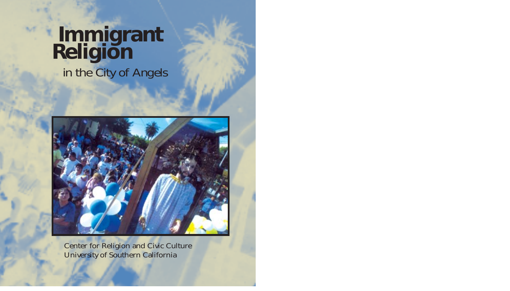# **Immigrant Religion**

 $\mathcal{M}$ 

in the City of Angels



Center for Religion and Civic Culture University of Southern California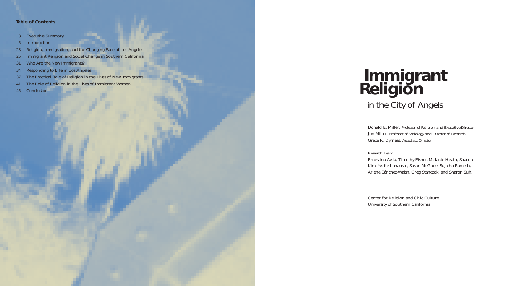#### **Table of Contents**

- 3 Executive Summary
- 5 Introduction
- 23 Religion, Immigration, and the Changing Face of Los Angeles
- 25 Immigrant Religion and Social Change in Southern California
- 31 Who Are the New Immigrants?
- 34 Responding to Life in Los Angeles
- 37 The Practical Role of Religion in the Lives of New Immigrants
- 41 The Role of Religion in the Lives of Immigrant Women
- 45 Conclusion

## **Immigrant Religion**

in the City of Angels

Donald E. Miller, *Professor of Religion and Executive Director* Jon Miller, *Professor of Sociology and Director of Research* Grace R. Dyrness, *Associate Director*

#### *Research Team:*

Ernestina Avila, Timothy Fisher, Melanie Heath, Sharon Kim, Yvette Lanausse, Susan McGhee, Sujatha Ramesh, Arlene Sánchez-Walsh, Greg Stanczak, and Sharon Suh.

Center for Religion and Civic Culture University of Southern California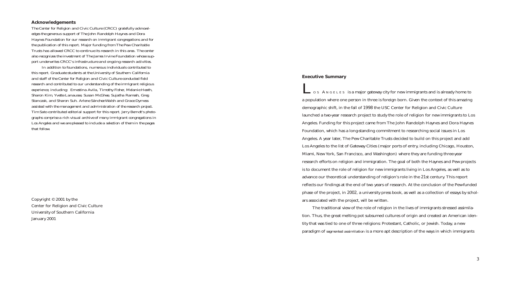#### **Acknowledgements**

*The Center for Religion and Civic Culture (CRCC) gratefully acknowledges the generous support of The John Randolph Haynes and Dora Haynes Foundation for our research on immigrant congregations and for the publication of this report. Major funding from The Pew Charitable Trusts has allowed CRCC to continue its research in this area. The center also recognizes the investment of The James Irvine Foundation whose support underwrites CRCC's infrastructure and ongoing research activities.*

*In addition to foundations, numerous individuals contributed to this report. Graduate students at the University of Southern California and staff of the Center for Religion and Civic Culture conducted field research and contributed to our understanding of the immigrant religious experience, including: Ernestina Avila, Timothy Fisher, Melanie Heath, Sharon Kim, Yvette Lanausse, Susan McGhee, Sujatha Ramesh, Greg Stanczak, and Sharon Suh. Arlene Sánchez-Walsh and Grace Dyrness assisted with the management and administration of the research project. Tim Sato contributed editorial support for this report. Jerry Berndt's photographs comprise a rich visual archive of many immigrant congregations in Los Angeles and we are pleased to include a selection of them in the pages that follow.* 

Copyright © 2001 by the Center for Religion and Civic Culture University of Southern California January 2001

#### **Executive Summary**

L O S A N G E L E S is a major gateway city for new immigrants and is already home to a population where one person in three is foreign born. Given the context of this amazing demographic shift, in the fall of 1998 the USC Center for Religion and Civic Culture launched a two-year research project to study the role of religion for new immigrants to Los Angeles. Funding for this project came from The John Randolph Haynes and Dora Haynes Foundation, which has a long-standing commitment to researching social issues in Los Angeles. A year later, The Pew Charitable Trusts decided to build on this project and add Los Angeles to the list of Gateway Cities (major ports of entry, including Chicago, Houston, Miami, New York, San Francisco, and Washington) where they are funding three-year research efforts on religion and immigration. The goal of both the Haynes and Pew projects is to document the role of religion for new immigrants living in Los Angeles, as well as to advance our theoretical understanding of religion's role in the 21st century. This report reflects our findings at the end of two years of research. At the conclusion of the Pew-funded phase of the project, in 2002, a university press book, as well as a collection of essays by scholars associated with the project, will be written.

The traditional view of the role of religion in the lives of immigrants stressed assimilation. Thus, the great melting pot subsumed cultures of origin and created an American identity that was tied to one of three religions: Protestant, Catholic, or Jewish. Today, a new paradigm of *segmented assimilation* is a more apt description of the ways in which immigrants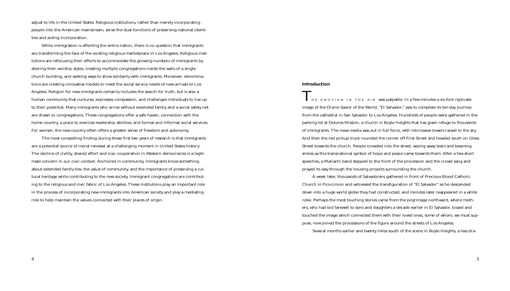adjust to life in the United States. Religious institutions, rather than merely incorporating people into the American mainstream, serve the dual functions of preserving national identities and aiding incorporation.

While immigration is affecting the entire nation, there is no question that immigrants are transforming the face of the existing religious marketplace in Los Angeles. Religious institutions are refocusing their efforts to accommodate the growing numbers of immigrants by altering their worship styles, creating multiple congregations inside the walls of a single church building, and seeking ways to show solidarity with immigrants. Moreover, denominations are creating innovative models to meet the social service needs of new arrivals to Los Angeles. Religion for new immigrants certainly includes the search for truth, but is also a human community that nurtures, expresses compassion, and challenges individuals to live up to their potential. Many immigrants who arrive without extended family and a social safety net are drawn to congregations. These congregations offer a safe haven, connection with the home country, a place to exercise leadership abilities, and formal and informal social services. For women, the new country often offers a greater sense of freedom and autonomy.

The most compelling finding during these first two years of research is that immigrants are a potential source of moral renewal at a challenging moment in United States history. The decline of civility, shared effort and civic cooperation in Western democracies is a legitimate concern in our civic context. Anchored in community, immigrants know something about extended family ties, the value of community, and the importance of preserving a cultural heritage while contributing to the new society. Immigrant congregations are contributing to the religious and civic fabric of Los Angeles. These institutions play an important role in the process of incorporating new immigrants into American society and play a mediating role to help maintain the values connected with their places of origin.

#### **Introduction**

 $\blacksquare$  HE EMOTION IN THE AIR was palpable. In a few minutes a six-foot replicate image of the Divine Savior of the World, "El Salvador," was to complete its ten-day journey from the cathedral in San Salvador to Los Angeles. Hundreds of people were gathered in the parking lot at Dolores Mission, a church in Boyle Heights that has given refuge to thousands of immigrants. The news media was out in full force, with microwave towers raised to the sky. And then the red pickup truck rounded the corner off First Street and headed south on Gless Street towards the church. People crowded into the street, wiping away tears and beaming smiles as this transnational symbol of hope and peace came towards them. After a few short speeches, a Mariachi band stepped to the front of the procession and the crowd sang and prayed its way through the housing projects surrounding the church.

A week later, thousands of Salvadorans gathered in front of Precious Blood Catholic Church in Pico-Union and witnessed the transfiguration of "El Salvador" as he descended down into a huge world globe they had constructed, and minutes later reappeared in a white robe. Perhaps the most touching stories came from the pilgrimage northward, where mothers, who had bid farewell to sons and daughters a decade earlier in El Salvador, kissed and touched the image which connected them with their loved ones, some of whom, we must suppose, now joined the processions of the figure around the streets of Los Angeles.

Several months earlier and twenty miles south of the scene in Boyle Heights, a less dra-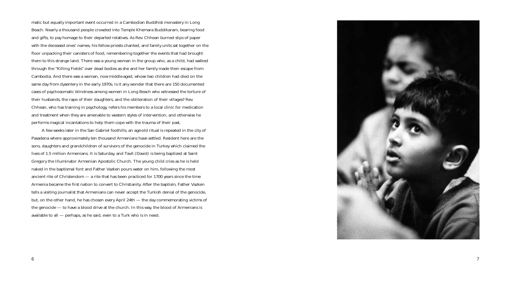matic but equally important event occurred in a Cambodian Buddhist monastery in Long Beach. Nearly a thousand people crowded into Temple Khemara Buddikaram, bearing food and gifts, to pay homage to their departed relatives. As Rev. Chhean burned slips of paper with the deceased ones' names, his fellow priests chanted, and family units sat together on the floor unpacking their canisters of food, remembering together the events that had brought them to this strange land. There was a young woman in the group who, as a child, had walked through the "Killing Fields" over dead bodies as she and her family made their escape from Cambodia. And there was a woman, now middle-aged, whose two children had died on the same day from dysentery in the early 1970s. Is it any wonder that there are 150 documented cases of psychosomatic blindness among women in Long Beach who witnessed the torture of their husbands, the rape of their daughters, and the obliteration of their villages? Rev. Chhean, who has training in psychology, refers his members to a local clinic for medication and treatment when they are amenable to western styles of intervention, and otherwise he performs magical incantations to help them cope with the trauma of their past.

A few weeks later in the San Gabriel foothills, an age-old ritual is repeated in the city of Pasadena where approximately ten thousand Armenians have settled. Resident here are the sons, daughters and grandchildren of survivors of the genocide in Turkey which claimed the lives of 1.5 million Armenians. It is Saturday, and Tavit (David) is being baptized at Saint Gregory the Illuminator Armenian Apostolic Church. The young child cries as he is held naked in the baptismal font and Father Vazken pours water on him, following the most ancient rite of Christendom — a rite that has been practiced for 1700 years since the time Armenia became the first nation to convert to Christianity. After the baptism, Father Vazken tells a visiting journalist that Armenians can never accept the Turkish denial of the genocide, but, on the other hand, he has chosen every April 24th — the day commemorating victims of the genocide — to have a blood drive at the church. In this way, the blood of Armenians is available to all — perhaps, as he said, even to a Turk who is in need.

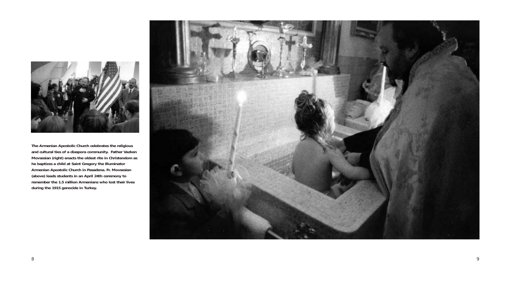

**The Armenian Apostolic Church celebrates the religious and cultural ties of a diaspora community. Father Vazken Movsesian (right) enacts the oldest rite in Christendom as he baptizes a child at Saint Gregory the Illuminator Armenian Apostolic Church in Pasadena. Fr. Movsesian (above) leads students in an April 24th ceremony to remember the 1.5 million Armenians who lost their lives during the 1915 genocide in Turkey.** 

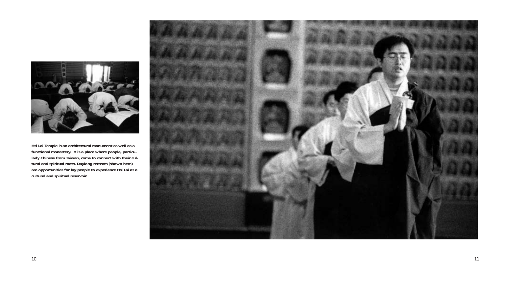

**Hsi Lai Temple is an architectural monument as well as a functional monastery. It is a place where people, particularly Chinese from Taiwan, come to connect with their cultural and spiritual roots. Daylong retreats (shown here) are opportunities for lay people to experience Hsi Lai as a cultural and spiritual reservoir.**

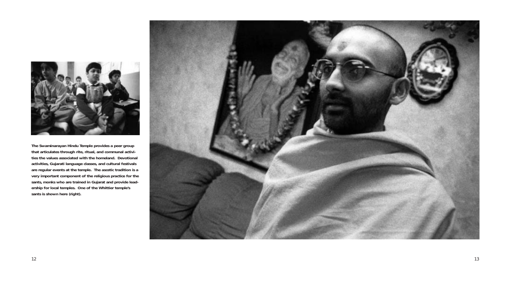

**The Swaminarayan Hindu Temple provides a peer group that articulates through rite, ritual, and communal activities the values associated with the homeland. Devotional activities, Gujarati language classes, and cultural festivals are regular events at the temple. The ascetic tradition is a very important component of the religious practice for the** *sants***, monks who are trained in Gujarat and provide leadership for local temples. One of the Whittier temple's sants is shown here (right).**

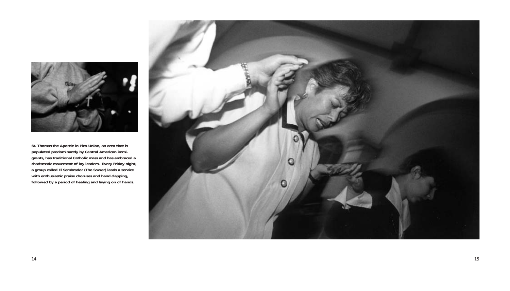

**St. Thomas the Apostle in Pico-Union, an area that is populated predominantly by Central American immigrants, has traditional Catholic mass and has embraced a charismatic movement of lay leaders. Every Friday night, a group called** *El Sembrador* **(The Sower) leads a service with enthusiastic praise choruses and hand clapping, followed by a period of healing and laying on of hands.**

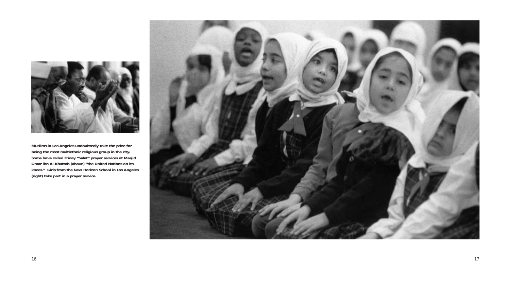

**Muslims in Los Angeles undoubtedly take the prize for being the most multiethnic religious group in the city. Some have called Friday "Salat" prayer services at Masjid Omar ibn Al-Khattab (above) "the United Nations on its knees." Girls from the New Horizon School in Los Angeles (right) take part in a prayer service.**

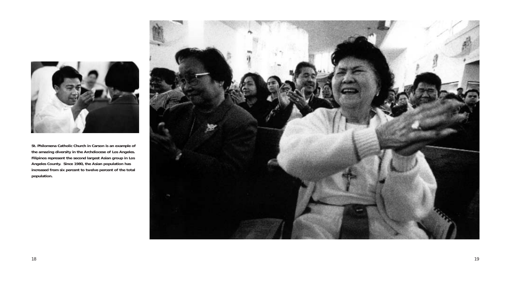

**St. Philomena Catholic Church in Carson is an example of the amazing diversity in the Archdiocese of Los Angeles. Filipinos represent the second largest Asian group in Los Angeles County. Since 1980, the Asian population has increased from six percent to twelve percent of the total population.** 

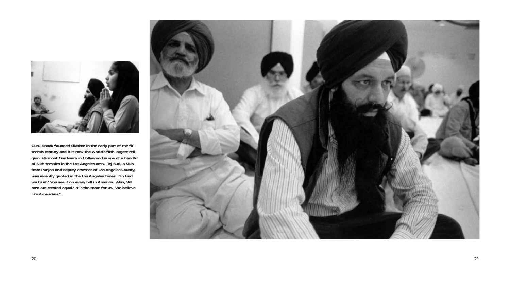

**Guru Nanak founded Sikhism in the early part of the fifteenth century and it is now the world's fifth largest religion. Vermont Gurdwara in Hollywood is one of a handful of Sikh temples in the Los Angeles area. Tej Suri, a Sikh from Punjab and deputy assessor of Los Angeles County, was recently quoted in the** *Los Angeles Times:* **"'In God we trust.' You see it on every bill in America. Also, 'All men are created equal.' It is the same for us. We believe like Americans."** 

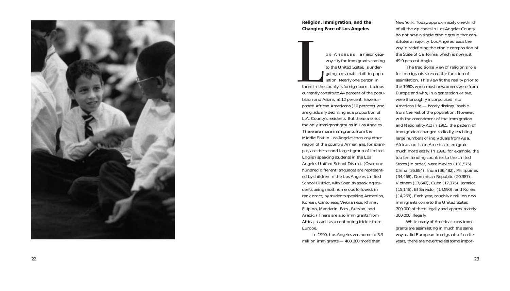

#### **Religion, Immigration, and the Changing Face of Los Angeles**

O S A N G ELES, a major gateway city for immigrants coming to the United States, is undergoing a dramatic shift in population. Nearly one person in three in the county is foreign born. Latinos currently constitute 44 percent of the population and Asians, at 12 percent, have surpassed African Americans (10 percent) who are gradually declining as a proportion of L.A. County's residents. But these are not the only immigrant groups in Los Angeles. There are more immigrants from the Middle East in Los Angeles than any other region of the country. Armenians, for example, are the second largest group of limited-English speaking students in the Los Angeles Unified School District. (Over one hundred different languages are represented by children in the Los Angeles Unified School District, with Spanish speaking students being most numerous followed, in rank order, by students speaking Armenian, Korean, Cantonese, Vietnamese, Khmer, Filipino, Mandarin, Farsi, Russian, and Arabic.) There are also immigrants from Africa, as well as a continuing trickle from Europe. **L**

In 1990, Los Angeles was home to 3.9 million immigrants — 400,000 more than

New York. Today, approximately one-third of all the zip codes in Los Angeles County do not have a single ethnic group that constitutes a majority. Los Angeles leads the way in redefining the ethnic composition of the State of California, which is now just 49.9 percent Anglo.

The traditional view of religion's role for immigrants stressed the function of assimilation. This view fit the reality prior to the 1960s when most newcomers were from Europe and who, in a generation or two, were thoroughly incorporated into American life — barely distinguishable from the rest of the population. However, with the amendment of the Immigration and Nationality Act in 1965, the pattern of immigration changed radically, enabling large numbers of individuals from Asia, Africa, and Latin America to emigrate much more easily. In 1998, for example, the top ten sending countries to the United States (in order) were Mexico (131,575), China (36,884), India (36,482), Philippines (34,466), Dominican Republic (20,387), Vietnam (17,649), Cuba (17,375), Jamaica (15,146), El Salvador (14,590), and Korea (14,268). Each year, roughly a million new immigrants come to the United States, 700,000 of them legally and approximately 300,000 illegally.

While many of America's new immigrants are assimilating in much the same way as did European immigrants of earlier years, there are nevertheless some impor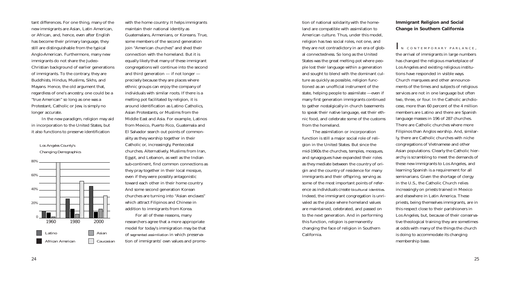tant differences. For one thing, many of the new immigrants are Asian, Latin American, or African, and, hence, even after English has become their primary language, they still are distinguishable from the typical Anglo-American. Furthermore, many new immigrants do not share the Judeo-Christian background of earlier generations of immigrants. To the contrary, they are Buddhists, Hindus, Muslims, Sikhs, and Mayans. Hence, the old argument that, regardless of one's ancestry, one could be a "true American" so long as one was a Protestant, Catholic or Jew, is simply no longer accurate.

In the new paradigm, religion may aid in incorporation to the United States, but it also functions to preserve identification

#### *Los Angeles County's Changing Demographics*



with the home country. It helps immigrants maintain their national identity as Guatemalans, Armenians, or Koreans. True, some members of the second generation join "American churches" and shed their connection with the homeland. But it is equally likely that many of these immigrant congregations will continue into the second and third generation — if not longer precisely because they are places where ethnic groups can enjoy the company of individuals with similar roots. If there is a melting pot facilitated by religion, it is around identification as Latino Catholics, Asian Protestants, or Muslims from the Middle East and Asia. For example, Latinos from Mexico, Puerto Rico, Guatemala and El Salvador search out points of commonality as they worship together in their Catholic or, increasingly, Pentecostal churches. Alternatively, Muslims from Iran, Egypt, and Lebanon, as well as the Indian sub-continent, find common connections as they pray together in their local mosque, even if they were possibly antagonistic

toward each other in their home country. And some second generation Korean churches are turning into "Asian enclaves" which attract Filipinos and Chinese in addition to immigrants from Korea. For all of these reasons, many researchers agree that a more appropriate

model for today's immigration may be that of *segmented assimilation* in which preservation of immigrants' own values and promo-

tion of national solidarity with the homeland are compatible with assimilation to American culture. Thus, under this model, religion has two social roles, not one, and they are not contradictory in an era of global connectedness. So long as the United States was the great melting pot where people lost their language within a generation and sought to blend with the dominant culture as quickly as possible, religion functioned as an unofficial instrument of the state, helping people to assimilate —even if many first generation immigrants continued to gather nostalgically in church basements to speak their native language, eat their ethnic food, and celebrate some of the customs from the homeland.

The assimilation or incorporation function is still a major social role of religion in the United States. But since the mid-1960s the churches, temples, mosques, and synagogues have expanded their roles as they mediate between the country of origin and the country of residence for many immigrants and their offspring, serving as some of the most important points of reference as individuals create *bicultural identities.* Indeed, the immigrant congregation is unrivaled as the place where homeland values are maintained, celebrated, and passed on to the next generation. And in performing this function, religion is permanently changing the face of religion in Southern California.

#### **Immigrant Religion and Social Change in Southern California**

#### IN CONTEMPORARY PARLANCE.

the arrival of immigrants in large numbers has changed the religious marketplace of Los Angeles and existing religious institutions have responded in visible ways. Church marquees and other announcements of the times and subjects of religious services are not in one language but often two, three, or four. In the Catholic archdiocese, more than 60 percent of the 4 million members are Latino and there are Spanish language masses in 196 of 287 churches. There are Catholic churches where more Filipinos than Anglos worship. And, similarly, there are Catholic churches with niche congregations of Vietnamese and other Asian populations. Clearly the Catholic hierarchy is scrambling to meet the demands of these new immigrants to Los Angeles, and learning Spanish is a requirement for all seminarians. Given the shortage of clergy in the U.S., the Catholic Church relies increasingly on priests trained in Mexico and elsewhere in Latin America. These priests, being themselves immigrants, are in this respect close to their parishioners in Los Angeles, but, because of their conservative theological training they are sometimes at odds with many of the things the church is doing to accommodate its changing membership base.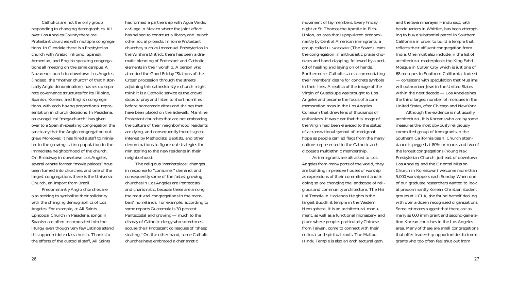Catholics are not the only group responding to changing demographics. All over Los Angeles County there are Protestant churches with multiple congregations. In Glendale there is a Presbyterian church with Arabic, Filipino, Spanish, Armenian, and English speaking congregations all meeting on the same campus. A Nazarene church in downtown Los Angeles (indeed, the "mother church" of that historically Anglo denomination) has set up separate governance structures for its Filipino, Spanish, Korean, and English congregations, with each having proportional representation in church decisions. In Pasadena, an evangelical "mega-church" has given over to a Spanish-speaking congregation the sanctuary that the Anglo congregation outgrew. Moreover, it has hired a staff to minister to the growing Latino population in the immediate neighborhood of the church. On Broadway in downtown Los Angeles, several ornate former "movie palaces" have been turned into churches, and one of the largest congregations there is the Universal Church, an import from Brazil.

Predominantly Anglo churches are also seeking to symbolize their solidarity with the changing demographics of Los Angeles. For example, at All Saints Episcopal Church in Pasadena, songs in Spanish are often incorporated into the liturgy, even though very few Latinos attend this upper-middle class church. Thanks to the efforts of the custodial staff, All Saints

has formed a partnership with Agua Verde, a village in Mexico where the joint effort has helped to construct a library and launch other social projects. In some Protestant churches, such as Immanuel Presbyterian in the Wilshire District, there has been a dramatic blending of Protestant and Catholic elements in their worship. A person who attended the Good Friday "Stations of the Cross" procession through the streets adjoining this cathedral-style church might think it is a Catholic service as the crowd stops to pray and listen to short homilies before homemade altars and shrines that have been placed on the sidewalk. Mainline Protestant churches that are not embracing the culture of their neighborhood residents are dying, and consequently there is great interest by Methodists, Baptists, and other denominations to figure out strategies for ministering to the new residents in their neighborhood.

The religious "marketplace" changes in response to "consumer" demand, and consequently some of the fastest growing churches in Los Angeles are Pentecostal and charismatic, because these are among the most vital congregations in the members' homelands. For example, according to some reports Guatemala is 30 percent Pentecostal and growing — much to the dismay of Catholic clergy who sometimes accuse their Protestant colleagues of "sheep stealing." On the other hand, some Catholic churches have embraced a charismatic

movement of lay members. Every Friday night at St. Thomas the Apostle in Pico-Union, an area that is populated predominantly by Central American immigrants, a group called *El Sembrador* (The Sower) leads the congregation in enthusiastic praise choruses and hand clapping, followed by a period of healing and laying on of hands. Furthermore, Catholics are accommodating their members' desire for concrete symbols in their lives. A replica of the image of the Virgin of Guadalupe was brought to Los Angeles and became the focus of a commemoration mass in the Los Angeles Coliseum that drew tens of thousands of enthusiasts. It was clear that this image of the Virgin had been elevated to the status of a transnational symbol of immigrant hope as people carried flags from the many nations represented in the Catholic archdiocese's multiethnic membership.

As immigrants are attracted to Los Angeles from many parts of the world, they are building impressive houses of worship as expressions of their commitment and in doing so are changing the landscape of religious and community architecture. The Hsi Lai Temple in Hacienda Heights is the largest Buddhist temple in the Western Hemisphere. It is an architectural monument, as well as a functional monastery, and place where people, particularly Chinese from Taiwan, come to connect with their cultural and spiritual roots. The Malibu Hindu Temple is also an architectural gem,

and the Swaminarayan Hindu sect, with headquarters in Whittier, has been attempting to buy a substantial parcel in Southern California in order to build a temple that reflects their affluent congregation from India. One must also include in the list of architectural masterpieces the King Fahd Mosque in Culver City, which is just one of 68 mosques in Southern California. Indeed — consistent with speculation that Muslims will outnumber Jews in the United States within the next decade — Los Angeles has the third largest number of mosques in the United States, after Chicago and New York.

Although the evidence is not usually architectural, it is Koreans who are by some measures the most obviously religiously committed group of immigrants in the Southern California basin. Church attendance is pegged at 80% or more, and two of the largest congregations (Young Nak Presbyterian Church, just east of downtown Los Angeles, and the Oriental Mission Church in Koreatown) welcome more than 5,000 worshippers each Sunday. When one of our graduate researchers wanted to look at predominantly Korean Christian student groups at UCLA, she found herself dealing with over a dozen recognized organizations. Some estimates suggest that there are as many as 600 immigrant and second-generation Korean churches in the Los Angeles area. Many of these are small congregations that offer leadership opportunities to immigrants who too often feel shut out from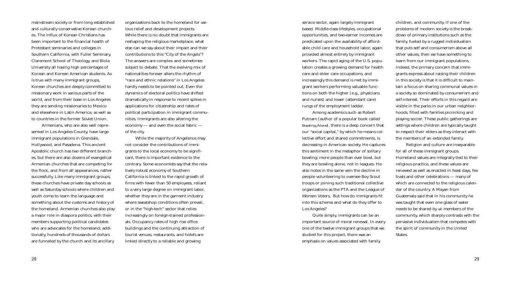mainstream society or from long established and culturally conservative Korean churches. The influx of Korean Christians has been important to the financial health of Protestant seminaries and colleges in Southern California, with Fuller Seminary, Claremont School of Theology, and Biola University all having high percentages of Korean and Korean American students. As is true with many immigrant groups, Korean churches are deeply committed to missionary work in various parts of the world, and from their base in Los Angeles they are sending missionaries to Mexico and elsewhere in Latin America, as well as to countries in the former Soviet Union.

Armenians, who are also well represented in Los Angeles County, have large immigrant populations in Glendale, Hollywood, and Pasadena. This ancient Apostolic church has two different branches, but there are also dozens of evangelical Armenian churches that are competing for the flock, and from all appearances, rather successfully. Like many immigrant groups, these churches have private day schools as well as Saturday schools where children and youth come to learn the language and something about the customs and history of the homeland. Armenian churches also play a major role in diaspora politics, with their members supporting political candidates who are advocates for the homeland; additionally, hundreds of thousands of dollars are funneled by the church and its ancillary

organizations back to the homeland for various relief and development projects. While there is no doubt that immigrants are reshaping the religious marketplace, what else can we say about their impact and their contributions to this "City of the Angels"? The answers are complex and sometimes subject to debate. That the evolving mix of nationalities forever alters the rhythm of "race and ethnic relations" in Los Angeles hardly needs to be pointed out. Even the dynamics of electoral politics have shifted dramatically in response to recent spikes in applications for citizenship and rates of political participation in immigrant communities. Immigrants are also altering the economy — and even the social fabric of the city.

While the majority of Angelenos may not consider the contributions of immigrants to the local economy to be significant, there is important evidence to the contrary. Some economists say that the relatively robust economy of Southern California is linked to the rapid growth of firms with fewer than 50 employees, reliant to a very large degree on immigrant labor, whether they are in the garment industry where sweatshop conditions often prevail, or in the "high-tech" sector that relies increasingly on foreign-trained professionals. Occupancy rates of high rise office buildings and the continuing attraction of tourist venues, restaurants, and hotels are linked directly to a reliable and growing

service sector, again largely immigrant based. Middle-class lifestyles, occupational opportunities, and two-earner incomes are predicated upon the availability of affordable child care and household labor, again provided almost entirely by immigrant workers. The rapid aging of the U.S. population creates a growing demand for health care and elder care occupations, and increasingly this demand is met by immigrant workers performing valuable functions on both the higher (e.g., physicians and nurses) and lower (attendant care) rungs of the employment ladder.

Among academics such as Robert Putnam (author of a popular book called *Bowling Alone*), there is a deep concern that our "social capital," by which he means collective effort and shared commitments, is decreasing in American society. He captures this sentiment in the metaphor of solitary bowling: more people than ever bowl, but they are bowling alone, not in leagues. He also notes in the same vein the decline in people volunteering to oversee Boy Scout troops or joining such traditional collective organizations as the PTA and the League of Women Voters. But how do immigrants fit into this schema and what do they offer to Los Angeles?

Quite simply, immigrants can be an important source of moral renewal. In every one of the twelve immigrant groups that we studied for this project, there was an emphasis on values associated with family,

children, and community. If one of the problems of modern society is the breakdown of primary institutions such as the family, fueled by a rugged individualism that puts self and consumerism above all other values, then we have something to learn from our immigrant populations. Indeed, the primary concern that immigrants express about raising their children in this society is that it is difficult to maintain a focus on sharing communal values in a society so dominated by consumerism and self-interest. Their efforts in this regard are visible in the parks in our urban neighborhoods, filled with families picnicking and playing soccer. These public gatherings are settings where children are typically taught to respect their elders as they interact with the members of an extended family.

Religion and culture are inseparable for all of these immigrant groups. Homeland values are integrally tied to their religious practice, and these values are renewed as well as enacted in feast days, festivals and other celebrations — many of which are connected to the religious calendar of the country. A Mayan from Guatemala said that in his community he was taught that even one glass of water needs to be shared by *all* members of the community, which sharply contrasts with the pervasive individualism that competes with the spirit of community in the United States.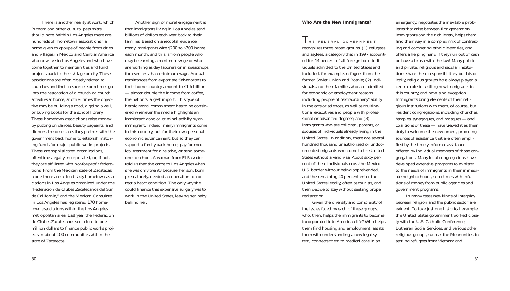There is another reality at work, which Putnam and other cultural pessimists should note. Within Los Angeles there are hundreds of "hometown associations," a name given to groups of people from cities and villages in Mexico and Central America who now live in Los Angeles and who have come together to maintain ties and fund projects back in their village or city. These associations are often closely related to churches and their resources sometimes go into the restoration of a church or church activities at home; at other times the objective may be building a road, digging a well, or buying books for the school library. These hometown associations raise money by putting on dances, beauty pageants, and dinners. In some cases they partner with the government back home to establish matching funds for major public works projects. These are sophisticated organizations, oftentimes legally incorporated, or, if not, they are affiliated with not-for-profit federations. From the Mexican state of Zacatecas alone there are at least sixty hometown associations in Los Angeles organized under the "Federacion de Clubes Zacatecanos del Sur de California," and the Mexican Consulate in Los Angeles has registered 170 hometown associations within the Los Angeles metropolitan area. Last year the Federacion de Clubes Zacatecanos sent close to one million dollars to finance public works projects in about 100 communities within the state of Zacatecas.

Another sign of moral engagement is that immigrants living in Los Angeles send billions of dollars each year back to their families. Based on anecdotal evidence, many immigrants wire \$200 to \$300 home each month, and this is from people who may be earning a minimum wage or who are working as day laborers or in sweatshops for even less than minimum wage. Annual remittances from expatriate Salvadorans to their home country amount to \$1.6 billion — almost double the income from coffee, the nation's largest import. This type of heroic moral commitment has to be considered whenever the media highlights an immigrant gang or criminal activity by an immigrant. Indeed, many immigrants come to this country, not for their own personal economic advancement, but so they can support a family back home, pay for medical treatment for a relative, or send someone to school. A woman from El Salvador told us that she came to Los Angeles when she was only twenty because her son, born prematurely, needed an operation to correct a heart condition. The only way she could finance this expensive surgery was to work in the United States, leaving her baby behind her.

#### **Who Are the New Immigrants?**

### HE FEDERAL GOVERNMENT

recognizes three broad groups: (1) refugees and asylees, a category that in 1997 accounted for 14 percent of all foreign-born individuals admitted to the United States and included, for example, refugees from the former Soviet Union and Bosnia; (2) individuals and their families who are admitted for economic or employment reasons, including people of "extraordinary" ability in the arts or sciences, as well as multinational executives and people with professional or advanced degrees; and (3) immigrants who are children, parents, or spouses of individuals already living in the United States. In addition, there are several hundred thousand unauthorized or undocumented migrants who come to the United States without a valid visa. About sixty percent of these individuals cross the Mexico-U.S. border without being apprehended, and the remaining 40 percent enter the United States legally, often as tourists, and then decide to stay without seeking proper registration.

Given the diversity and complexity of the issues faced by each of these groups, who, then, helps the immigrants to become incorporated into American life? Who helps them find housing and employment, assists them with understanding a new legal system, connects them to medical care in an

emergency, negotiates the inevitable problems that arise between first generation immigrants and their children, helps them find their way in a complex mix of contrasting and competing ethnic identities, and offers a helping hand if they run out of cash or have a brush with the law? Many public and private, religious and secular institutions share these responsibilities, but historically, religious groups have always played a central role in settling new immigrants in this country, and now is no exception. Immigrants bring elements of their religious institutions with them, of course, but resident congregations, including churches, temples, synagogues, and mosques — and coalitions of these — have viewed it as their duty to welcome the newcomers, providing sources of assistance that are often amplified by the timely informal assistance offered by individual members of those congregations. Many local congregations have developed extensive programs to minister to the needs of immigrants in their immediate neighborhoods, sometimes with infusions of money from public agencies and government programs.

In many cases new kinds of interplay between religion and the public sector are evident. To take just one historical example, the United States government worked closely with the U.S. Catholic Conference, Lutheran Social Services, and various other religious groups, such as the Mennonites, in settling refugees from Vietnam and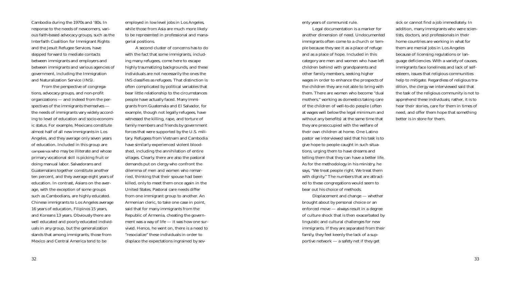Cambodia during the 1970s and '80s. In response to the needs of newcomers, various faith-based advocacy groups, such as the Interfaith Coalition for Immigrant Rights and the Jesuit Refugee Services, have stepped forward to mediate contacts between immigrants and employers and between immigrants and various agencies of government, including the Immigration and Naturalization Service (INS).

From the perspective of congregations, advocacy groups, and non-profit organizations — and indeed from the perspectives of the immigrants themselves the needs of immigrants vary widely according to level of education and socio-economic status. For example, Mexicans constitute almost half of all new immigrants in Los Angeles, and they average only seven years of education. Included in this group are *campesinos* who may be illiterate and whose primary vocational skill is picking fruit or doing manual labor. Salvadorans and Guatemalans together constitute another ten percent, and they average eight years of education. In contrast, Asians on the average, with the exception of some groups such as Cambodians, are highly educated. Chinese immigrants to Los Angeles average 16 years of education, Filipinos 15 years, and Koreans 13 years. Obviously there are well educated and poorly educated individuals in any group, but the generalization stands that among immigrants, those from Mexico and Central America tend to be

employed in low level jobs in Los Angeles, while those from Asia are much more likely to be represented in professional and managerial positions.

A second cluster of concerns has to do with the fact that some immigrants, including many refugees, come here to escape highly traumatizing backgrounds, and these individuals are not necessarily the ones the INS classifies as refugees. That distinction is often complicated by political variables that bear little relationship to the circumstances people have actually faced. Many immigrants from Guatemala and El Salvador, for example, though not legally refugees, have witnessed the killing, rape, and torture of family members and friends by government forces that were supported by the U.S. military. Refugees from Vietnam and Cambodia have similarly experienced violent bloodshed, including the annihilation of entire villages. Clearly, there are also the pastoral demands put on clergy who confront the dilemma of men and women who remarried, thinking that their spouse had been killed, only to meet them once again in the United States. Pastoral care needs differ from one immigrant group to another. An Armenian cleric, to take one case in point, said that for many immigrants from the Republic of Armenia, cheating the government was a way of life — it was how one survived. Hence, he went on, there is a need to "resocialize" these individuals in order to displace the expectations ingrained by seventy years of communist rule.

Legal documentation is a marker for another dimension of need. Undocumented immigrants often come to a church or temple because they see it as a place of refuge and as a place of hope. Included in this category are men and women who have left children behind with grandparents and other family members, seeking higher wages in order to enhance the prospects of the children they are not able to bring with them. There are women who become "dual mothers," working as domestics taking care of the children of well-to-do people (often at wages well below the legal minimum and without any benefits) at the same time that they are preoccupied with the welfare of their own children at home. One Latino pastor we interviewed said that his task is to give hope to people caught in such situations, urging them to have dreams and telling them that they can have a better life. As for the methodology in his ministry, he says, "We treat people right. We treat them with dignity." The numbers that are attracted to these congregations would seem to bear out his choice of methods.

Displacement and change — whether brought about by personal choice or an enforced move — always result in a degree of culture shock that is then exacerbated by linguistic and cultural challenges for new immigrants. If they are separated from their family, they feel keenly the lack of a supportive network — a safety net if they get

sick or cannot find a job immediately. In addition, many immigrants who were scientists, doctors, and professionals in their home countries are working in what for them are menial jobs in Los Angeles because of licensing regulations or language deficiencies. With a variety of causes, immigrants face loneliness and lack of selfesteem, issues that religious communities help to mitigate. Regardless of religious tradition, the clergy we interviewed said that the task of the religious community is not to apprehend these individuals; rather, it is to hear their stories, care for them in times of need, and offer them hope that something better is in store for them.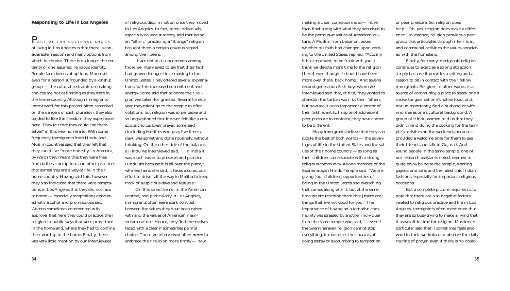#### **Responding to Life in Los Angeles**

PART OF THE CULTURAL SHOCK of living in Los Angeles is that there is considerable freedom and many options from which to choose. There is no longer the certainty of one assumed religious identity. People face dozens of options. Moreover even for a person surrounded by a kinship group — the cultural restraints on making choices are not as limiting as they were in the home country. Although immigrants interviewed for this project often remarked on the dangers of such pluralism, they also tended to like the freedom they experience here. They felt that they could "be themselves" in this new homeland. With some frequency, immigrants from Hindu and Muslim countries said that they felt that they could live "more honestly" in America, by which they meant that they were free from bribes, corruption, and other practices that sometimes are a way of life in their home country. Having said this, however, they also indicated that there were temptations in Los Angeles that they did not face at home — especially temptations associated with alcohol and promiscuous sex. Women sometimes commented with approval that here they could practice their religion in public ways that were proscribed in the homeland, where they had to confine their worship to the home. Finally, there was very little mention by our interviewees

of religious discrimination once they moved to Los Angeles. In fact, some individuals, especially college students, said that being an "ethnic" practicing a "strange" religion brought them a certain envious regard among their peers.

It was not at all uncommon among those we interviewed to say that their faith had grown stronger since moving to the United States. They offered several explanations for this increased commitment and energy. Some said that at home their religion was taken for granted. Several times a year they might go to the temple to offer oblations, but religion was so pervasive and so unquestioned that it never felt like a conscious choice. Even prayer, some said (including Muslims who pray five times a day), was something done routinely, without thinking. On the other side of the balance, a Hindu we interviewed said, "...in India it was much easier to preserve and practice Hinduism because it is all over the place," whereas here, she said, it takes a conscious effort to drive "all the way to Malibu to keep track of auspicious days and festivals."

On this same theme, in the American context, and particularly in Los Angeles, immigrants often see a stark contrast between the values they have been raised with and the values of American mainstream culture. Hence, they find themselves faced with a clear if sometimes painful choice. Those we interviewed often *elected* to embrace their religion more firmly — now

making a clear, conscious *choice* — rather than float along with what they perceived to be the permissive values of American culture. A Muslim from Lebanon, asked whether his faith had changed upon coming to the United States, replied, "Actually, it has improved, to be frank with you. I think we devote more time to the religion [here] even though it should have been more over there, back home." And several second generation Sikh boys whom we interviewed said that, at first, they wanted to abandon the turban worn by their fathers, but now see it as an important element of their Sikh identity. In spite of adolescent peer pressure to conform, they have chosen to be different.

Many immigrants believe that they can juggle the best of both worlds — the advantages of life in the United States and the values of their home country — so long as their children can associate with a strong religious community. As one member of the Swaminarayan Hindu Temple said, "We are giving [our children] opportunities of being in the United States and everything that comes along with it, but at the same time we are teaching them that [there are] things that are not good for you." The importance of having an alternative community was stressed by another individual from the same temple who said, "...even if the Swaminarayan religion cannot stop everything, it minimizes the chances of going astray or succumbing to temptation

or peer pressure. So, religion does help…Oh, yes, religion does make a difference." In essence, religion provides a peer group that articulates through rite, ritual, and communal activities the values associated with the homeland.

Finally, for many immigrants religion continues to exercise a strong attraction simply because it provides a setting and a reason to be in contact with their fellow immigrants. Religion, in other words, is a source of community, a place to speak one's native tongue, eat one's native food, and, not unimportantly, find a husband or wife who shares one's cultural background. A group of Hindu women told us that they didn't mind doing the cooking for the temple's activities on the weekends because it provided a welcome time for them to see their friends and talk in Gujarati. And young people in the same temple, one of our research assistants noted, seemed to quite enjoy being at the temple, wearing *gaghras* and saris and the latest chic Indian fashions, especially for important religious occasions.

But a complete picture requires us to note that there are also negative factors related to religious practice and life in Los Angeles. Immigrants often mentioned that they are so busy trying to make a living that it leaves little time for religion. Muslims in particular said that it sometimes feels awkward in their workplace to observe the daily routine of prayer, even if there is no objec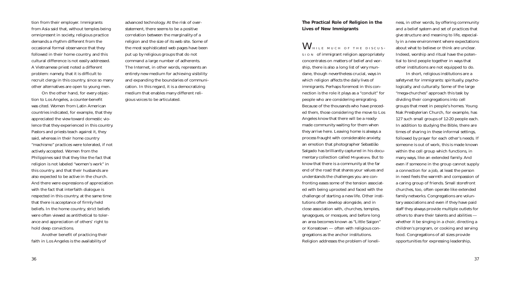tion from their employer. Immigrants from Asia said that, without temples being omnipresent in society, religious practice demands a rhythm different from the occasional formal observance that they followed in their home country, and this cultural difference is not easily addressed. A Vietnamese priest noted a different problem: namely, that it is difficult to recruit clergy in this country, since so many other alternatives are open to young men.

On the other hand, for every objection to Los Angeles, a counter-benefit was cited. Women from Latin American countries indicated, for example, that they appreciated the view toward domestic violence that they experienced in this country. Pastors and priests teach against it, they said, whereas in their home country "machismo" practices were tolerated, if not actively accepted. Women from the Philippines said that they like the fact that religion is not labeled "women's work" in this country, and that their husbands are also expected to be active in the church. And there were expressions of appreciation with the fact that interfaith dialogue is respected in this country, at the same time that there is acceptance of firmly held beliefs. In the home country, strict beliefs were often viewed as antithetical to tolerance and appreciation of others' right to hold deep convictions.

Another benefit of practicing their faith in Los Angeles is the availability of

advanced technology. At the risk of overstatement, there seems to be a positive correlation between the marginality of a religion and the size of its web site. Some of the most sophisticated web pages have been put up by religious groups that do not command a large number of adherents. The Internet, in other words, represents an entirely new medium for achieving visibility and expanding the boundaries of communication. In this regard, it is a democratizing medium that enables many different religious voices to be articulated.

#### **The Practical Role of Religion in the Lives of New Immigrants**

WHILE MUCH OF THE DISCUS-SION of immigrant religion appropriately concentrates on matters of belief and worship, there is also a long list of very mundane, though nevertheless crucial, ways in which religion affects the daily lives of immigrants. Perhaps foremost in this connection is the role it plays as a "conduit" for people who are considering emigrating. Because of the thousands who have preceded them, those considering the move to Los Angeles know that there will be a readymade community waiting for them when they arrive here. Leaving home is always a process fraught with considerable anxiety, an emotion that photographer Sebastião Salgado has brilliantly captured in his documentary collection called *Migrations*. But to know that there is a community at the far end of the road that shares your values and understands the challenges you are confronting eases some of the tension associated with being uprooted and faced with the challenge of starting a new life. Other institutions often develop alongside, and in close association with, churches, temples, synagogues, or mosques, and before long an area becomes known as "Little Saigon" or Koreatown — often with religious congregations as the anchor institutions. Religion addresses the problem of loneli-

ness, in other words, by offering community and a belief system and set of practices that give structure and meaning to life, especial ly in a new environment where expectations about what to believe or think are unclear. Indeed, worship and ritual have the poten tial to bind people together in ways that other institutions are not equipped to do.

In short, religious institutions are a safety-net for immigrants: spiritually, psycho logically, and culturally. Some of the large "mega-churches" approach this task by dividing their congregations into cell groups that meet in people's homes. Young Nak Presbyterian Church, for example, has 127 such small groups of 12-20 people each. In addition to studying the Bible, there are times of sharing in these informal settings, followed by prayer for each other's needs. If someone is out of work, this is made known within the cell group which functions, in many ways, like an extended family. And even if someone in the group cannot supply a connection for a job, at least the person in need feels the warmth and compassion of a caring group of friends. Small storefront churches, too, often operate like extended family networks. Congregations are volun tary associations and even if they have paid staff they always provide multiple outlets for others to share their talents and abilities whether it be singing in a choir, directing a children's program, or cooking and serving food. Congregations of all sizes provide opportunities for expressing leadership,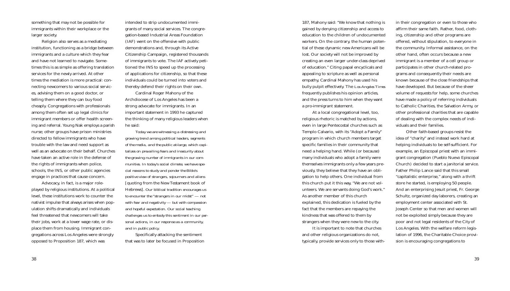something that may not be possible for immigrants within their workplace or the larger society.

Religion also serves as a mediating institution, functioning as a bridge between immigrants and a culture which they fear and have not learned to navigate. Sometimes this is as simple as offering translation services for the newly arrived. At other times the mediation is more practical: connecting newcomers to various social services, advising them on a good doctor, or telling them where they can buy food cheaply. Congregations with professionals among them often set up legal clinics for immigrant members or offer health screening and referral. Young Nak employs a parish nurse; other groups have prison ministries directed to fellow immigrants who have trouble with the law and need support as well as an advocate on their behalf. Churches have taken an active role in the defense of the rights of immigrants when police, schools, the INS, or other public agencies engage in practices that cause concern.

Advocacy, in fact, is a major roleplayed by religious institutions. At a political level, these institutions work to counter the nativist impulse that always arises when population shifts dramatically and individuals feel threatened that newcomers will take their jobs, work at a lower wage rate, or displace them from housing. Immigrant congregations across Los Angeles were strongly opposed to Proposition 187, which was

intended to strip undocumented immigrants of many social services. The congregation-based Industrial Areas Foundation (IAF) went on the offensive with public demonstrations and, through its Active Citizenship Campaign, registered thousands of immigrants to vote. The IAF actively petitioned the INS to speed up the processing of applications for citizenship, so that these individuals could be turned into voters and thereby defend their rights on their own.

Cardinal Roger Mahony of the Archdiocese of Los Angeles has been a strong advocate for immigrants. In an important statement in 1993 he captured the thinking of many religious leaders when he said:

*Today we are witnessing a distressing and growing trend among political leaders, segments of the media, and the public at-large, which capitalizes on prevailing fears and insecurity about the growing number of immigrants in our communities. In today's social climate, we have special reasons to study and ponder the Bible's positive view of strangers, sojourners and aliens* [quoting from the New Testament book of Hebrews]. *Our biblical tradition encourages us to encounter the "strangers in our midst" — not with fear and negativity — but with compassion and hopeful expectation. Our social teaching challenges us to embody this sentiment in our personal actions, in our response as a community, and in public policy.* 

Specifically attacking the sentiment that was to later be focused in Proposition

187, Mahony said: "We know that nothing is gained by denying citizenship and access to education to the children of undocumented workers. On the contrary, the human potential of these dynamic new Americans will be lost. Our society will not be improved by creating an even larger under-class deprived of education." Citing papal encyclicals and appealing to scripture as well as personal empathy, Cardinal Mahony has used his bully pulpit effectively. The *Los Angeles Times* frequently publishes his opinion articles, and the press turns to him when they want a pro-immigrant statement.

At a local congregational level, too, religious rhetoric is matched by actions, even in large Pentecostal churches such as Templo Calvario, with its "Adopt a Family" program in which church members target specific families in their community that need a helping hand. While (or because) many individuals who adopt a family were themselves immigrants only a few years previously, they believe that they have an obligation to help others. One individual from this church put it this way, "We are not volunteers. We are servants doing God's work." As another member of this church explained, this dedication is fueled by the fact that the members are repaying the kindness that was offered to them by strangers when they were new to the city.

It is important to note that churches and other religious organizations do not, typically, provide services only to those within their congregation or even to those who affirm their same faith. Rather, food, cloth ing, citizenship and other programs are offered, without stipulation, to everyone in the community. Informal assistance, on the other hand, often occurs because a new immigrant is a member of a cell group or participates in other church-related pro grams and consequently their needs are known because of the close friendships that have developed. But because of the sheer volume of requests for help, some churches have made a policy of referring individuals to Catholic Charities, the Salvation Army, or other professional charities that are capable of dealing with the complex needs of indi viduals and their families.

Other faith-based groups resist the idea of "charity" and instead work hard at helping individuals to be self-sufficient. For example, an Episcopal priest with an immi grant congregation (Pueblo Nuevo Episcopal Church) decided to start a janitorial service. Father Philip Lance said that this small "capitalistic enterprise," along with a thrift store he started, is employing 50 people. And an enterprising Jesuit priest, Fr. George Schultz, organized day laborers, creating an employment center associated with St. Joseph Center so that men and women will not be exploited simply because they are poor and not legal residents of the City of Los Angeles. With the welfare reform legis lation of 1996, the Charitable Choice provi sion is encouraging congregations to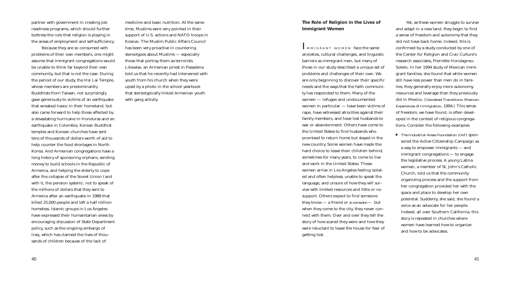partner with government in creating job readiness programs, which should further buttress the role that religion is playing in the areas of employment and self-sufficiency.

Because they are so consumed with problems of their own members, one might assume that immigrant congregations would be unable to think far beyond their own community, but that is not the case. During the period of our study, the Hsi Lai Temple, whose members are predominantly Buddhists from Taiwan, not surprisingly gave generously to victims of an earthquake that wreaked havoc in their homeland, but also came forward to help those affected by a devastating hurricane in Honduras and an earthquake in Colombia. Korean Buddhist temples and Korean churches have sent tens of thousands of dollars worth of aid to help counter the food shortages in North Korea. And Armenian congregations have a long history of sponsoring orphans, sending money to build schools in the Republic of Armenia, and helping the elderly to cope after the collapse of the Soviet Union (and with it, the pension system), not to speak of the millions of dollars that they sent to Armenia after an earthquake in 1988 that killed 25,000 people and left a half million homeless. Islamic groups in Los Angeles have expressed their humanitarian views by encouraging discussion of State Department policy, such as the ongoing embargo of Iraq, which has claimed the lives of thousands of children because of the lack of

medicine and basic nutrition. At the same time, Muslims were very pointed in their support of U.S. actions and NATO troops in Kosovo. The Muslim Public Affairs Council has been very proactive in countering stereotypes about Muslims — especially those that portray them as terrorists. Likewise, an Armenian priest in Pasadena told us that he recently had intervened with youth from his church when they were upset by a photo in the school yearbook that stereotypically linked Armenian youth with gang activity.

#### **The Role of Religion in the Lives of Immigrant Women**

I MMIGRANT WOMEN face the same anxieties, cultural challenges, and linguistic barriers as immigrant men, but many of those in our study described a unique set of problems and challenges of their own. We are only beginning to discover their specific needs and the ways that the faith community has responded to them. Many of the women — refugee and undocumented women in particular — have been victims of rape, have witnessed atrocities against their family members, and have lost husbands to war or abandonment. Others have come to the United States to find husbands who promised to return home but stayed in the new country. Some women have made the hard choice to leave their children behind, sometimes for many years, to come to live and work in the United States. These women arrive in Los Angeles feeling isolated and often helpless, unable to speak the language, and unsure of how they will survive with limited resources and little or no support. Others expect to find someone they know — a friend or a *comadre* — but when they come to the city, they never connect with them. Over and over they tell the story of how scared they were and how they were reluctant to leave the house for fear of getting lost.

Yet, as these women struggle to survive and adapt in a new land, they begin to find a sense of freedom and autonomy that they did not have back home. Indeed, this is confirmed by a study conducted by one of the Center for Religion and Civic Culture's research associates, Pierrette Hondagneu-Sotelo. In her 1994 study of Mexican immigrant families, she found that while women still have less power than men do in families, they generally enjoy more autonomy, resources and leverage than they previously did in Mexico. (*Gendered Transitions: Mexican Experiences of Immigration*, 1994.) This sense of freedom, we have found, is often developed in the context of religious congregations. Consider the following examples:

**The Industrial Areas Foundation (IAF) spon**sored the Active Citizenship Campaign as a way to empower immigrants — and immigrant congregations — to engage the legislative process. A young Latina woman, a member of St. John's Catholic Church, told us that the community organizing process and the support from her congregation provided her with the space and place to develop her own potential. Suddenly, she said, she found a voice as an advocate for her people. Indeed, all over Southern California, this story is repeated in churches where women have learned how to organize and how to be advocates.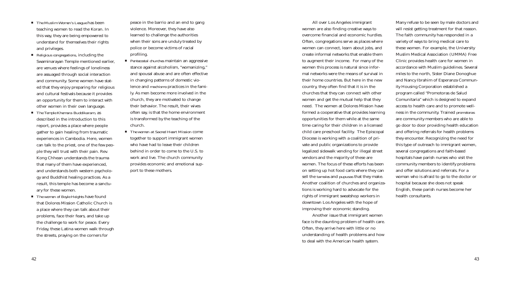- i *The Muslim Women's League* has been teaching women to read the Koran. In this way, they are being empowered to understand for themselves their rights and privileges.
- i *Religious congregations,* including the Swaminarayan Temple mentioned earlier, are venues where feelings of loneliness are assuaged through social interaction and community. Some women have stated that they enjoy preparing for religious and cultural festivals because it provides an opportunity for them to interact with other women in their own language.
- i *The Temple Khemara Buddikaram,* as described in the introduction to this report, provides a place where people gather to gain healing from traumatic experiences in Cambodia. Here, women can talk to the priest, one of the few people they will trust with their pain. Rev. Kong Chhean understands the trauma that many of them have experienced, and understands both western psychology and Buddhist healing practices. As a result, this temple has become a sanctuary for these women.
- *The women of Boyle Heights* have found that Dolores Mission Catholic Church is a place where they can talk about their problems, face their fears, and take up the challenge to work for peace. Every Friday, these Latina women walk through the streets, praying on the corners for

peace in the barrio and an end to gang violence. Moreover, they have also learned to challenge the authorities when their sons are unduly treated by police or become victims of racial profiling.

- **Pentecostal churches maintain an aggressive** stance against alcoholism, "womanizing," and spousal abuse and are often effective in changing patterns of domestic violence and *machismo* practices in the family. As men become more involved in the church, they are motivated to change their behavior. The result, their wives often say, is that the home environment is transformed by the teaching of the church.
- i *The women at Sacred Heart Mission* come together to support immigrant women who have had to leave their children behind in order to come to the U.S. to work and live. The church community provides economic and emotional support to these mothers.

All over Los Angeles immigrant women are also finding creative ways to overcome financial and economic hurdles. Often, congregations serve as places where women can connect, learn about jobs, and create informal networks that enable them to augment their income. For many of the women this process is natural since informal networks were the means of survival in their home countries. But here in the new country, they often find that it is in the churches that they can connect with other women and get the mutual help that they need. The women at Dolores Mission have formed a cooperative that provides learning opportunities for them while at the same time caring for their children in a licensed child care preschool facility. The Episcopal Diocese is working with a coalition of private and public organizations to provide legalized sidewalk vending for illegal street vendors and the majority of these are women. The focus of these efforts has been on setting up hot food carts where they can sell the *tamales* and *pupusas* that they make. Another coalition of churches and organizations is working hard to advocate for the rights of immigrant sweatshop workers in downtown Los Angeles with the hope of improving their economic standing.

Another issue that immigrant women face is the daunting problem of health care. Often, they arrive here with little or no understanding of health problems and how to deal with the American health system.

Many refuse to be seen by male doctors and will resist getting treatment for that reason. The faith community has responded in a variety of ways to bring medical care to these women. For example, the University Muslim Medical Association (UMMA) Free Clinic provides health care for women in accordance with Muslim guidelines. Several miles to the north, Sister Diane Donoghue and Nancy Ibrahim of Esperanza Community Housing Corporation established a program called "Promotoras de Salud Comunitaria" which is designed to expand access to health care and to promote wellness in the community. Trained *promotoras* are community members who are able to go door to door providing health education and offering referrals for health problems they encounter. Recognizing the need for this type of outreach to immigrant women, several congregations and faith-based hospitals have parish nurses who visit the community members to identify problems and offer solutions and referrals. For a woman who is afraid to go to the doctor or hospital because she does not speak English, these parish nurses become her health consultants.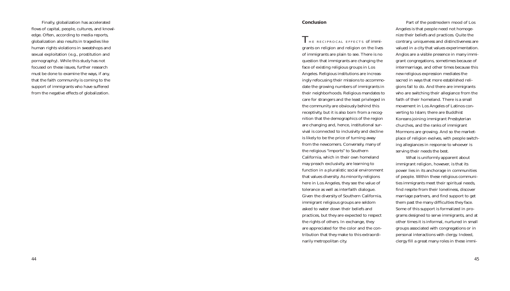Finally, globalization has accelerated flows of capital, people, cultures, and knowledge. Often, according to media reports, globalization also results in tragedies like human rights violations in sweatshops and sexual exploitation (e.g., prostitution and pornography). While this study has not focused on these issues, further research must be done to examine the ways, if any, that the faith community is coming to the support of immigrants who have suffered from the negative effects of globalization.

#### **Conclusion**

#### I. HE RECIPROCAL EFFECTS of immigrants on religion and religion on the lives of immigrants are plain to see. There is no question that immigrants are changing the face of existing religious groups in Los Angeles. Religious institutions are increasingly refocusing their missions to accommodate the growing numbers of immigrants in their neighborhoods. Religious mandates to care for strangers and the least privileged in the community are obviously behind this receptivity, but it is also born from a recognition that the demographics of the region are changing and, hence, institutional survival is connected to inclusivity and decline is likely to be the price of turning away from the newcomers. Conversely, many of the religious "imports" to Southern California, which in their own homeland may preach exclusivity, are learning to function in a pluralistic social environment that values diversity. As minority religions here in Los Angeles, they see the value of tolerance as well as interfaith dialogue. Given the diversity of Southern California, immigrant religious groups are seldom asked to water down their beliefs and practices, but they are expected to respect the rights of others. In exchange, they are appreciated for the color and the contribution that they make to this extraordinarily metropolitan city.

Part of the postmodern mood of Los Angeles is that people need not homogenize their beliefs and practices. Quite the contrary, uniqueness and distinctiveness are valued in a city that values experimentation. Anglos are a visible presence in many immigrant congregations, sometimes because of intermarriage, and other times because this new religious expression mediates the sacred in ways that more established religions fail to do. And there are immigrants who are switching their allegiance from the faith of their homeland. There is a small movement in Los Angeles of Latinos converting to Islam; there are Buddhist Koreans joining immigrant Presbyterian churches, and the ranks of immigrant Mormons are growing. And so the marketplace of religion evolves, with people switching allegiances in response to whoever is serving their needs the best.

What is uniformly apparent about immigrant religion, however, is that its power lies in its anchorage in communities of people. Within these religious communities immigrants meet their spiritual needs, find respite from their loneliness, discover marriage partners, and find support to get them past the many difficulties they face. Some of this support is formalized in programs designed to serve immigrants, and at other times it is informal, nurtured in small groups associated with congregations or in personal interactions with clergy. Indeed, clergy fill a great many roles in these immi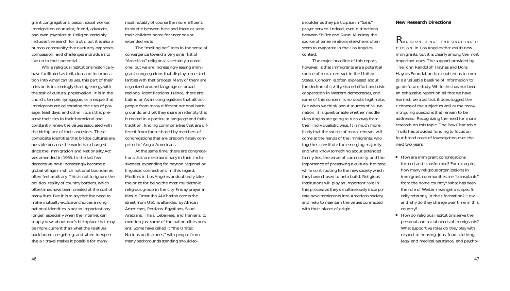grant congregations: pastor, social worker, immigration counselor, friend, advocate, and even psychiatrist. Religion certainly includes the search for truth, but it is also a human community that nurtures, expresses compassion, and challenges individuals to live up to their potential.

While religious institutions historically have facilitated assimilation and incorporation into American values, this part of their mission is increasingly sharing energy with the task of cultural preservation. It is in the church, temple, synagogue, or mosque that immigrants are celebrating the rites of passage, feast days, and other rituals that preserve their ties to their homeland and constantly renew the values associated with the birthplace of their ancestors. These composite identities that bridge cultures are possible because the world has changed since the Immigration and Nationality Act was amended in 1965. In the last few decades we have increasingly become a global village in which national boundaries often feel arbitrary. This is not to ignore the political reality of country borders, which oftentimes have been created at the cost of many lives. But it is to say that the need to make mutually exclusive choices among national identities is not so important any longer, especially when the Internet can supply news about one's birthplace that may be more current than what the relatives back home are getting, and when inexpensive air travel makes it possible for many,

most notably of course the more affluent, to shuttle between here and there or send their children home for vacations or extended visits.

The "melting pot" idea in the sense of convergence toward a very small list of "American" religions is certainly a dated one, but we are increasingly seeing immigrant congregations that display some similarities with that process. Many of them are organized around language or broad regional identifications. Hence, there are Latino or Asian congregations that attract people from many different national backgrounds, and yet they share an identity that is rooted in a particular language and faith tradition, finding commonalties that are different from those shared by members of congregations that are predominately comprised of Anglo Americans.

At the same time, there are congregations that are extraordinary in their inclusiveness, expanding far beyond regional or linguistic connections. In this regard, Muslims in Los Angeles undoubtedly take the prize for being the most multiethnic religious group in the city. Friday prayer in Masjid Omar ibn Al-Khattab across the street from USC is attended by African Americans, Persians, Egyptians, Saudi Arabians, Thais, Lebanese, and Iranians, to mention just some of the nationalities present. Some have called it "the United Nations on its knees," with people from many backgrounds standing should-toshoulder as they participate in "Salat" prayer service. Indeed, even distinctions between Shi'ite and Sunni Muslims, the source of tense relations elsewhere, often seem to evaporate in the Los Angeles context.

The major headline of this report, however, is that immigrants are a potential source of moral renewal in the United States. Concern is often expressed about the decline of civility, shared effort and civic cooperation in Western democracies, and some of this concern is no doubt legitimate. But when we think about sources of rejuvenation, it is questionable whether middle class Anglos are going to turn away from their individualistic ways. It is much more likely that the source of moral renewal will come at the hands of the immigrants, who together constitute the emerging majority, and who know something about extended family ties, the value of community, and the importance of preserving a cultural heritage while contributing to the new society which they have chosen to help build. Religious institutions will play an important role in this process as they simultaneously incorporate new immigrants into American society and help to maintain the values connected with their places of origin.

#### **New Research Directions**

 $\mathbf{R}_{\text{\tiny{ELIGION}}}$  is not the only insti-TUTION in Los Angeles that assists new immigrants, but it is clearly among the most important ones. The support provided by The John Randolph Haynes and Dora Haynes Foundation has enabled us to compile a valuable baseline of information to guide future study. While this has not been an exhaustive report on all that we have learned, we trust that it does suggest the richness of the subject as well as the many intriguing questions that remain to be addressed. Recognizing the need for more research on this topic, The Pew Charitable Trusts has provided funding to focus on four broad areas of investigation over the next two years:

- How are immigrant congregations formed and transformed? For example, how many religious organizations in immigrant communities are "transplants" from the home country? What has been the role of Western evangelism, specifically missions, in their formation? How and why do they change over time in this country?
- $\quad \blacksquare$  How do religious institutions serve the personal and social needs of immigrants? What supportive roles do they play with respect to housing, jobs, food, clothing, legal and medical assistance, and psycho-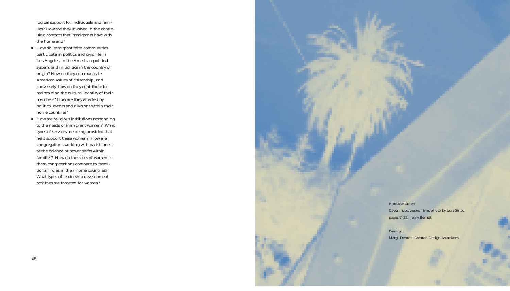logical support for individuals and families? How are they involved in the continuing contacts that immigrants have with the homeland?

- **If** How do immigrant faith communities participate in politics and civic life in Los Angeles, in the American political system, and in politics in the country of origin? How do they communicate American values of citizenship, and conversely, how do they contribute to maintaining the cultural identity of their members? How are they affected by political events and divisions within their home countries?
- **IF How are religious institutions responding** to the needs of immigrant women? What types of services are being provided that help support these women? How are congregations working with parishioners as the balance of power shifts within families? How do the roles of women in these congregations compare to "traditional" roles in their home countries? What types of leadership development activities are targeted for women?

#### *Photography:*

Cover: *Los Angeles Times* photo by Luis Sinco pages 7–22: Jerry Berndt

#### *Design:*

Margi Denton, Denton Design Associates